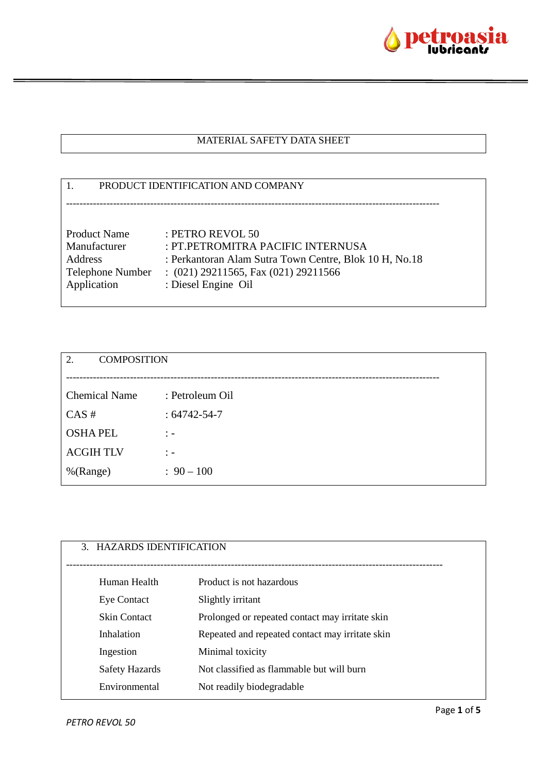

### MATERIAL SAFETY DATA SHEET

# 1. PRODUCT IDENTIFICATION AND COMPANY --------------------------------------------------------------------------------------------------------------- Product Name : PETRO REVOL 50 Manufacturer : PT.PETROMITRA PACIFIC INTERNUSA Address : Perkantoran Alam Sutra Town Centre, Blok 10 H, No.18 Telephone Number : (021) 29211565, Fax (021) 29211566 Application : Diesel Engine Oil

| 2.<br><b>COMPOSITION</b> |                   |
|--------------------------|-------------------|
|                          |                   |
| <b>Chemical Name</b>     | : Petroleum Oil   |
| CAS#                     | $:64742 - 54 - 7$ |
| <b>OSHAPEL</b>           | $\therefore$      |
| <b>ACGIHTLV</b>          | $\therefore$      |
| %(Range)                 | $: 90 - 100$      |
|                          |                   |

| 3. HAZARDS IDENTIFICATION |                                                 |
|---------------------------|-------------------------------------------------|
| Human Health              | Product is not hazardous                        |
| <b>Eye Contact</b>        | Slightly irritant                               |
| <b>Skin Contact</b>       | Prolonged or repeated contact may irritate skin |
| Inhalation                | Repeated and repeated contact may irritate skin |
| Ingestion                 | Minimal toxicity                                |
| Safety Hazards            | Not classified as flammable but will burn       |
| Environmental             | Not readily biodegradable                       |
|                           |                                                 |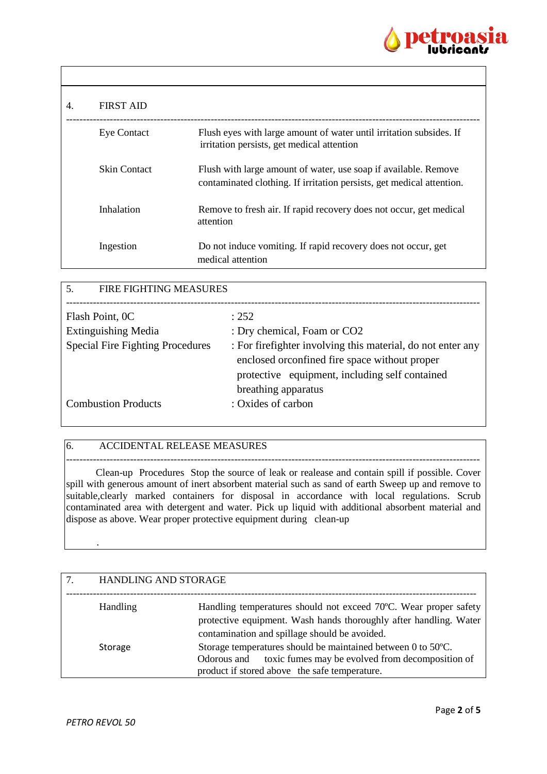

| 4. | <b>FIRST AID</b>    |                                                                                                                                          |
|----|---------------------|------------------------------------------------------------------------------------------------------------------------------------------|
|    | <b>Eye Contact</b>  | Flush eyes with large amount of water until irritation subsides. If<br>irritation persists, get medical attention                        |
|    | <b>Skin Contact</b> | Flush with large amount of water, use soap if available. Remove<br>contaminated clothing. If irritation persists, get medical attention. |
|    | Inhalation          | Remove to fresh air. If rapid recovery does not occur, get medical<br>attention                                                          |
|    | Ingestion           | Do not induce vomiting. If rapid recovery does not occur, get<br>medical attention                                                       |

| 5.<br>FIRE FIGHTING MEASURES            |                                                             |  |
|-----------------------------------------|-------------------------------------------------------------|--|
|                                         |                                                             |  |
| Flash Point, OC                         | : 252                                                       |  |
| <b>Extinguishing Media</b>              | : Dry chemical, Foam or CO2                                 |  |
| <b>Special Fire Fighting Procedures</b> | : For firefighter involving this material, do not enter any |  |
|                                         | enclosed or confined fire space without proper              |  |
|                                         | protective equipment, including self contained              |  |
|                                         | breathing apparatus                                         |  |
| <b>Combustion Products</b>              | : Oxides of carbon                                          |  |
|                                         |                                                             |  |

### 6. ACCIDENTAL RELEASE MEASURES

--------------------------------------------------------------------------------------------------------------------------- Clean-up Procedures Stop the source of leak or realease and contain spill if possible. Cover spill with generous amount of inert absorbent material such as sand of earth Sweep up and remove to suitable, clearly marked containers for disposal in accordance with local regulations. Scrub contaminated area with detergent and water. Pick up liquid with additional absorbent material and dispose as above. Wear proper protective equipment during clean-up

| <b>HANDLING AND STORAGE</b> |                                                                                                                                                                                        |
|-----------------------------|----------------------------------------------------------------------------------------------------------------------------------------------------------------------------------------|
| <b>Handling</b>             | Handling temperatures should not exceed 70°C. Wear proper safety<br>protective equipment. Wash hands thoroughly after handling. Water<br>contamination and spillage should be avoided. |
| Storage                     | Storage temperatures should be maintained between 0 to 50°C.<br>toxic fumes may be evolved from decomposition of<br>Odorous and<br>product if stored above the safe temperature.       |

.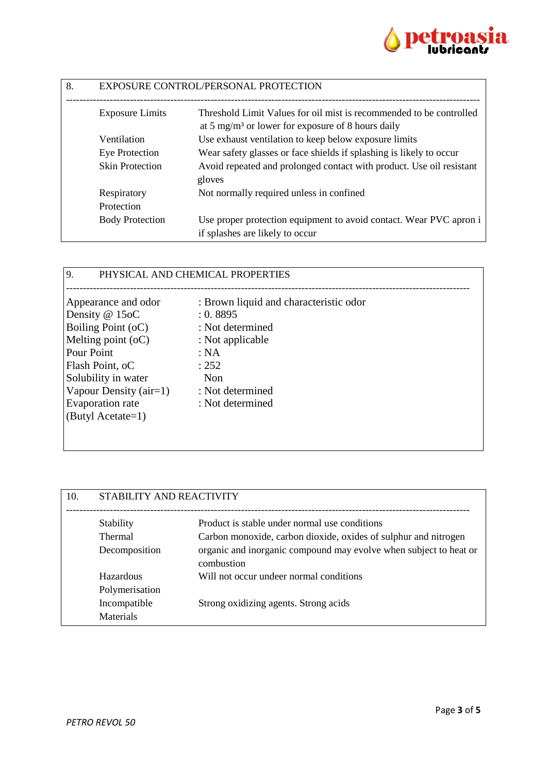

| 8. | EXPOSURE CONTROL/PERSONAL PROTECTION |                                                                                                       |
|----|--------------------------------------|-------------------------------------------------------------------------------------------------------|
|    | <b>Exposure Limits</b>               | Threshold Limit Values for oil mist is recommended to be controlled                                   |
|    |                                      | at 5 mg/m <sup>3</sup> or lower for exposure of 8 hours daily                                         |
|    | Ventilation                          | Use exhaust ventilation to keep below exposure limits                                                 |
|    | Eye Protection                       | Wear safety glasses or face shields if splashing is likely to occur                                   |
|    | <b>Skin Protection</b>               | Avoid repeated and prolonged contact with product. Use oil resistant<br>gloves                        |
|    | Respiratory                          | Not normally required unless in confined                                                              |
|    | Protection                           |                                                                                                       |
|    | <b>Body Protection</b>               | Use proper protection equipment to avoid contact. Wear PVC apron i<br>if splashes are likely to occur |

## 9. PHYSICAL AND CHEMICAL PROPERTIES

| Appearance and odor    | : Brown liquid and characteristic odor |
|------------------------|----------------------------------------|
| Density @ 15oC         | : 0.8895                               |
| Boiling Point (oC)     | : Not determined                       |
| Melting point $(oC)$   | : Not applicable                       |
| Pour Point             | : NA                                   |
| Flash Point, oC        | : 252                                  |
| Solubility in water    | Non                                    |
| Vapour Density (air=1) | : Not determined                       |
| Evaporation rate       | : Not determined                       |
| (Butyl Acetate=1)      |                                        |
|                        |                                        |
|                        |                                        |

| STABILITY AND REACTIVITY |                                                                                 |
|--------------------------|---------------------------------------------------------------------------------|
| Stability                | Product is stable under normal use conditions                                   |
| <b>Thermal</b>           | Carbon monoxide, carbon dioxide, oxides of sulphur and nitrogen                 |
| Decomposition            | organic and inorganic compound may evolve when subject to heat or<br>combustion |
| Hazardous                | Will not occur undeer normal conditions                                         |
| Polymerisation           |                                                                                 |
| Incompatible             | Strong oxidizing agents. Strong acids                                           |
| <b>Materials</b>         |                                                                                 |
|                          |                                                                                 |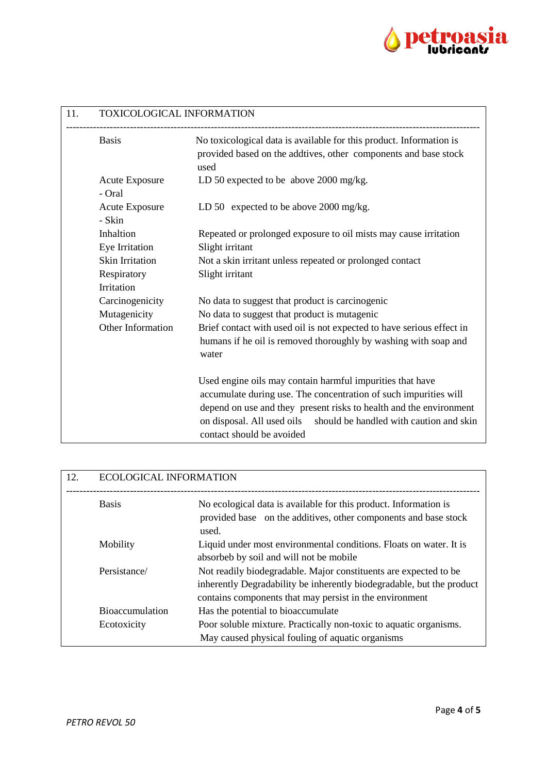

| 11. | TOXICOLOGICAL INFORMATION       |                                                                                                                                                                                                                                                                           |
|-----|---------------------------------|---------------------------------------------------------------------------------------------------------------------------------------------------------------------------------------------------------------------------------------------------------------------------|
|     | <b>Basis</b>                    | No toxicological data is available for this product. Information is<br>provided based on the addtives, other components and base stock<br>used                                                                                                                            |
|     | <b>Acute Exposure</b><br>- Oral | LD 50 expected to be above 2000 mg/kg.                                                                                                                                                                                                                                    |
|     | <b>Acute Exposure</b><br>- Skin | LD 50 expected to be above 2000 mg/kg.                                                                                                                                                                                                                                    |
|     | Inhaltion<br>Eye Irritation     | Repeated or prolonged exposure to oil mists may cause irritation<br>Slight irritant                                                                                                                                                                                       |
|     | <b>Skin Irritation</b>          | Not a skin irritant unless repeated or prolonged contact                                                                                                                                                                                                                  |
|     | Respiratory                     | Slight irritant                                                                                                                                                                                                                                                           |
|     | Irritation                      |                                                                                                                                                                                                                                                                           |
|     | Carcinogenicity                 | No data to suggest that product is carcinogenic                                                                                                                                                                                                                           |
|     | Mutagenicity                    | No data to suggest that product is mutagenic                                                                                                                                                                                                                              |
|     | Other Information               | Brief contact with used oil is not expected to have serious effect in                                                                                                                                                                                                     |
|     |                                 | humans if he oil is removed thoroughly by washing with soap and<br>water                                                                                                                                                                                                  |
|     |                                 | Used engine oils may contain harmful impurities that have<br>accumulate during use. The concentration of such impurities will<br>depend on use and they present risks to health and the environment<br>on disposal. All used oils should be handled with caution and skin |
|     |                                 | contact should be avoided                                                                                                                                                                                                                                                 |

| 12. | <b>ECOLOGICAL INFORMATION</b> |                                                                                                                                                                                                      |
|-----|-------------------------------|------------------------------------------------------------------------------------------------------------------------------------------------------------------------------------------------------|
|     | <b>Basis</b>                  | No ecological data is available for this product. Information is<br>provided base on the additives, other components and base stock<br>used.                                                         |
|     | Mobility                      | Liquid under most environmental conditions. Floats on water. It is<br>absorbeb by soil and will not be mobile                                                                                        |
|     | Persistance/                  | Not readily biodegradable. Major constituents are expected to be<br>inherently Degradability be inherently biodegradable, but the product<br>contains components that may persist in the environment |
|     | <b>Bioaccumulation</b>        | Has the potential to bioaccumulate                                                                                                                                                                   |
|     | Ecotoxicity                   | Poor soluble mixture. Practically non-toxic to aquatic organisms.<br>May caused physical fouling of aquatic organisms                                                                                |